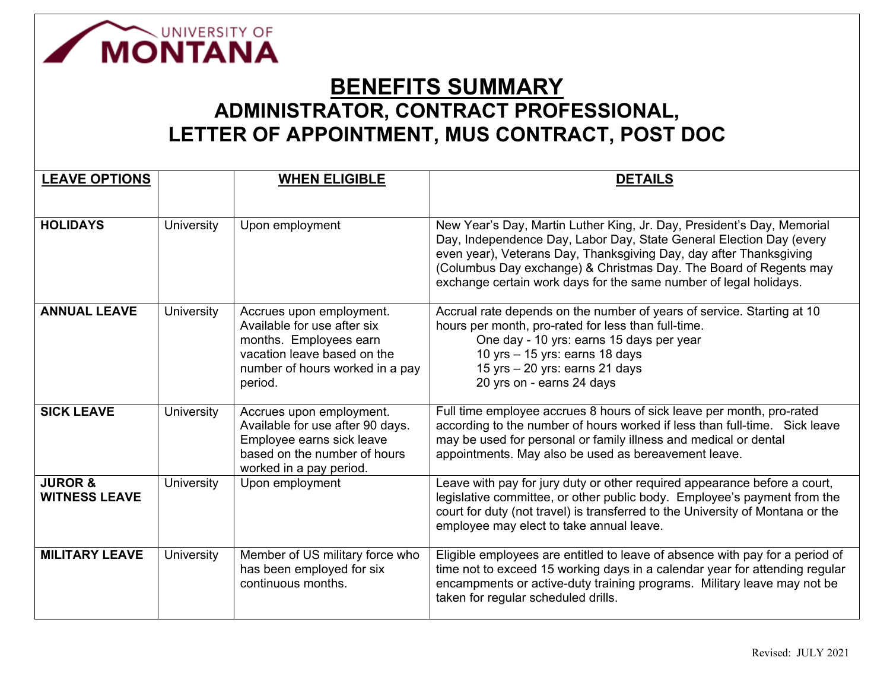

## **BENEFITS SUMMARY ADMINISTRATOR, CONTRACT PROFESSIONAL, LETTER OF APPOINTMENT, MUS CONTRACT, POST DOC**

| <b>LEAVE OPTIONS</b>                       |                   | <b>WHEN ELIGIBLE</b>                                                                                                                                           | <b>DETAILS</b>                                                                                                                                                                                                                                                                                                                                                |
|--------------------------------------------|-------------------|----------------------------------------------------------------------------------------------------------------------------------------------------------------|---------------------------------------------------------------------------------------------------------------------------------------------------------------------------------------------------------------------------------------------------------------------------------------------------------------------------------------------------------------|
|                                            |                   |                                                                                                                                                                |                                                                                                                                                                                                                                                                                                                                                               |
| <b>HOLIDAYS</b>                            | University        | Upon employment                                                                                                                                                | New Year's Day, Martin Luther King, Jr. Day, President's Day, Memorial<br>Day, Independence Day, Labor Day, State General Election Day (every<br>even year), Veterans Day, Thanksgiving Day, day after Thanksgiving<br>(Columbus Day exchange) & Christmas Day. The Board of Regents may<br>exchange certain work days for the same number of legal holidays. |
| <b>ANNUAL LEAVE</b>                        | University        | Accrues upon employment.<br>Available for use after six<br>months. Employees earn<br>vacation leave based on the<br>number of hours worked in a pay<br>period. | Accrual rate depends on the number of years of service. Starting at 10<br>hours per month, pro-rated for less than full-time.<br>One day - 10 yrs: earns 15 days per year<br>10 yrs $-$ 15 yrs: earns 18 days<br>15 yrs - 20 yrs: earns 21 days<br>20 yrs on - earns 24 days                                                                                  |
| <b>SICK LEAVE</b>                          | <b>University</b> | Accrues upon employment.<br>Available for use after 90 days.<br>Employee earns sick leave<br>based on the number of hours<br>worked in a pay period.           | Full time employee accrues 8 hours of sick leave per month, pro-rated<br>according to the number of hours worked if less than full-time. Sick leave<br>may be used for personal or family illness and medical or dental<br>appointments. May also be used as bereavement leave.                                                                               |
| <b>JUROR &amp;</b><br><b>WITNESS LEAVE</b> | University        | Upon employment                                                                                                                                                | Leave with pay for jury duty or other required appearance before a court,<br>legislative committee, or other public body. Employee's payment from the<br>court for duty (not travel) is transferred to the University of Montana or the<br>employee may elect to take annual leave.                                                                           |
| <b>MILITARY LEAVE</b>                      | University        | Member of US military force who<br>has been employed for six<br>continuous months.                                                                             | Eligible employees are entitled to leave of absence with pay for a period of<br>time not to exceed 15 working days in a calendar year for attending regular<br>encampments or active-duty training programs. Military leave may not be<br>taken for regular scheduled drills.                                                                                 |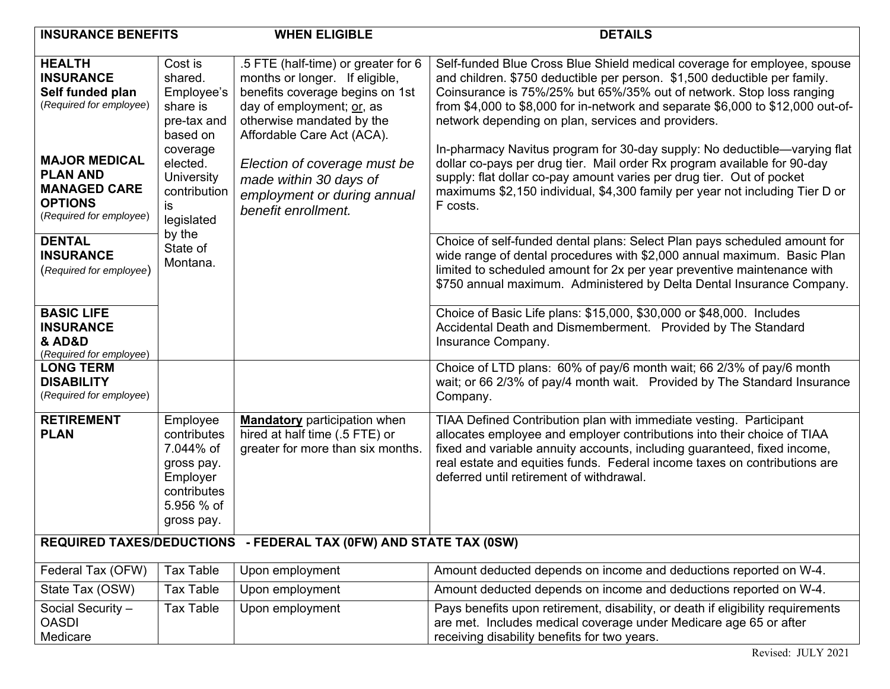| <b>INSURANCE BENEFITS</b>                                                                                                                                                                                                                                       |                                                                                                                                                                                     | <b>WHEN ELIGIBLE</b>                                                                                                                                                                                                                                                                                             | <b>DETAILS</b>                                                                                                                                                                                                                                                                                                                                                                                                                                                                                                                                                                                                                                                                                                                                                                                                                                                                                                                                                                                                   |  |  |
|-----------------------------------------------------------------------------------------------------------------------------------------------------------------------------------------------------------------------------------------------------------------|-------------------------------------------------------------------------------------------------------------------------------------------------------------------------------------|------------------------------------------------------------------------------------------------------------------------------------------------------------------------------------------------------------------------------------------------------------------------------------------------------------------|------------------------------------------------------------------------------------------------------------------------------------------------------------------------------------------------------------------------------------------------------------------------------------------------------------------------------------------------------------------------------------------------------------------------------------------------------------------------------------------------------------------------------------------------------------------------------------------------------------------------------------------------------------------------------------------------------------------------------------------------------------------------------------------------------------------------------------------------------------------------------------------------------------------------------------------------------------------------------------------------------------------|--|--|
| <b>HEALTH</b><br><b>INSURANCE</b><br>Self funded plan<br>(Required for employee)<br><b>MAJOR MEDICAL</b><br><b>PLAN AND</b><br><b>MANAGED CARE</b><br><b>OPTIONS</b><br>(Required for employee)<br><b>DENTAL</b><br><b>INSURANCE</b><br>(Required for employee) | Cost is<br>shared.<br>Employee's<br>share is<br>pre-tax and<br>based on<br>coverage<br>elected.<br>University<br>contribution<br>is<br>legislated<br>by the<br>State of<br>Montana. | .5 FTE (half-time) or greater for 6<br>months or longer. If eligible,<br>benefits coverage begins on 1st<br>day of employment; or, as<br>otherwise mandated by the<br>Affordable Care Act (ACA).<br>Election of coverage must be<br>made within 30 days of<br>employment or during annual<br>benefit enrollment. | Self-funded Blue Cross Blue Shield medical coverage for employee, spouse<br>and children. \$750 deductible per person. \$1,500 deductible per family.<br>Coinsurance is 75%/25% but 65%/35% out of network. Stop loss ranging<br>from \$4,000 to \$8,000 for in-network and separate \$6,000 to \$12,000 out-of-<br>network depending on plan, services and providers.<br>In-pharmacy Navitus program for 30-day supply: No deductible—varying flat<br>dollar co-pays per drug tier. Mail order Rx program available for 90-day<br>supply: flat dollar co-pay amount varies per drug tier. Out of pocket<br>maximums \$2,150 individual, \$4,300 family per year not including Tier D or<br>F costs.<br>Choice of self-funded dental plans: Select Plan pays scheduled amount for<br>wide range of dental procedures with \$2,000 annual maximum. Basic Plan<br>limited to scheduled amount for 2x per year preventive maintenance with<br>\$750 annual maximum. Administered by Delta Dental Insurance Company. |  |  |
| <b>BASIC LIFE</b><br><b>INSURANCE</b><br><b>&amp; AD&amp;D</b><br>(Required for employee)                                                                                                                                                                       |                                                                                                                                                                                     |                                                                                                                                                                                                                                                                                                                  | Choice of Basic Life plans: \$15,000, \$30,000 or \$48,000. Includes<br>Accidental Death and Dismemberment. Provided by The Standard<br>Insurance Company.                                                                                                                                                                                                                                                                                                                                                                                                                                                                                                                                                                                                                                                                                                                                                                                                                                                       |  |  |
| <b>LONG TERM</b><br><b>DISABILITY</b><br>(Required for employee)                                                                                                                                                                                                |                                                                                                                                                                                     |                                                                                                                                                                                                                                                                                                                  | Choice of LTD plans: 60% of pay/6 month wait; 66 2/3% of pay/6 month<br>wait; or 66 2/3% of pay/4 month wait. Provided by The Standard Insurance<br>Company.                                                                                                                                                                                                                                                                                                                                                                                                                                                                                                                                                                                                                                                                                                                                                                                                                                                     |  |  |
| <b>RETIREMENT</b><br><b>PLAN</b>                                                                                                                                                                                                                                | Employee<br>contributes<br>7.044% of<br>gross pay.<br>Employer<br>contributes<br>5.956 % of<br>gross pay.                                                                           | <b>Mandatory</b> participation when<br>hired at half time (.5 FTE) or<br>greater for more than six months.                                                                                                                                                                                                       | TIAA Defined Contribution plan with immediate vesting. Participant<br>allocates employee and employer contributions into their choice of TIAA<br>fixed and variable annuity accounts, including guaranteed, fixed income,<br>real estate and equities funds. Federal income taxes on contributions are<br>deferred until retirement of withdrawal.                                                                                                                                                                                                                                                                                                                                                                                                                                                                                                                                                                                                                                                               |  |  |
| REQUIRED TAXES/DEDUCTIONS - FEDERAL TAX (0FW) AND STATE TAX (0SW)                                                                                                                                                                                               |                                                                                                                                                                                     |                                                                                                                                                                                                                                                                                                                  |                                                                                                                                                                                                                                                                                                                                                                                                                                                                                                                                                                                                                                                                                                                                                                                                                                                                                                                                                                                                                  |  |  |
| Federal Tax (OFW)                                                                                                                                                                                                                                               | <b>Tax Table</b>                                                                                                                                                                    | Upon employment                                                                                                                                                                                                                                                                                                  | Amount deducted depends on income and deductions reported on W-4.                                                                                                                                                                                                                                                                                                                                                                                                                                                                                                                                                                                                                                                                                                                                                                                                                                                                                                                                                |  |  |
| State Tax (OSW)                                                                                                                                                                                                                                                 | <b>Tax Table</b>                                                                                                                                                                    | Upon employment                                                                                                                                                                                                                                                                                                  | Amount deducted depends on income and deductions reported on W-4.                                                                                                                                                                                                                                                                                                                                                                                                                                                                                                                                                                                                                                                                                                                                                                                                                                                                                                                                                |  |  |
| Social Security -<br><b>OASDI</b><br>Medicare                                                                                                                                                                                                                   | <b>Tax Table</b>                                                                                                                                                                    | Upon employment                                                                                                                                                                                                                                                                                                  | Pays benefits upon retirement, disability, or death if eligibility requirements<br>are met. Includes medical coverage under Medicare age 65 or after<br>receiving disability benefits for two years.                                                                                                                                                                                                                                                                                                                                                                                                                                                                                                                                                                                                                                                                                                                                                                                                             |  |  |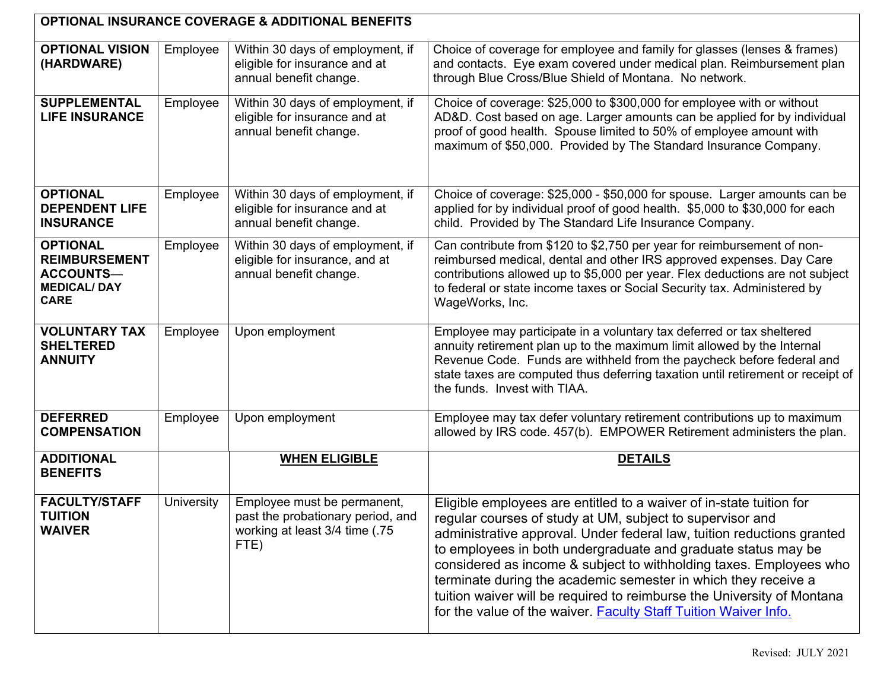| <b>OPTIONAL INSURANCE COVERAGE &amp; ADDITIONAL BENEFITS</b>                                     |            |                                                                                                            |                                                                                                                                                                                                                                                                                                                                                                                                                                                                                                                                                                  |  |  |
|--------------------------------------------------------------------------------------------------|------------|------------------------------------------------------------------------------------------------------------|------------------------------------------------------------------------------------------------------------------------------------------------------------------------------------------------------------------------------------------------------------------------------------------------------------------------------------------------------------------------------------------------------------------------------------------------------------------------------------------------------------------------------------------------------------------|--|--|
| <b>OPTIONAL VISION</b><br>(HARDWARE)                                                             | Employee   | Within 30 days of employment, if<br>eligible for insurance and at<br>annual benefit change.                | Choice of coverage for employee and family for glasses (lenses & frames)<br>and contacts. Eye exam covered under medical plan. Reimbursement plan<br>through Blue Cross/Blue Shield of Montana. No network.                                                                                                                                                                                                                                                                                                                                                      |  |  |
| <b>SUPPLEMENTAL</b><br><b>LIFE INSURANCE</b>                                                     | Employee   | Within 30 days of employment, if<br>eligible for insurance and at<br>annual benefit change.                | Choice of coverage: \$25,000 to \$300,000 for employee with or without<br>AD&D. Cost based on age. Larger amounts can be applied for by individual<br>proof of good health. Spouse limited to 50% of employee amount with<br>maximum of \$50,000. Provided by The Standard Insurance Company.                                                                                                                                                                                                                                                                    |  |  |
| <b>OPTIONAL</b><br><b>DEPENDENT LIFE</b><br><b>INSURANCE</b>                                     | Employee   | Within 30 days of employment, if<br>eligible for insurance and at<br>annual benefit change.                | Choice of coverage: \$25,000 - \$50,000 for spouse. Larger amounts can be<br>applied for by individual proof of good health. \$5,000 to \$30,000 for each<br>child. Provided by The Standard Life Insurance Company.                                                                                                                                                                                                                                                                                                                                             |  |  |
| <b>OPTIONAL</b><br><b>REIMBURSEMENT</b><br><b>ACCOUNTS-</b><br><b>MEDICAL/DAY</b><br><b>CARE</b> | Employee   | Within 30 days of employment, if<br>eligible for insurance, and at<br>annual benefit change.               | Can contribute from \$120 to \$2,750 per year for reimbursement of non-<br>reimbursed medical, dental and other IRS approved expenses. Day Care<br>contributions allowed up to \$5,000 per year. Flex deductions are not subject<br>to federal or state income taxes or Social Security tax. Administered by<br>WageWorks, Inc.                                                                                                                                                                                                                                  |  |  |
| <b>VOLUNTARY TAX</b><br><b>SHELTERED</b><br><b>ANNUITY</b>                                       | Employee   | Upon employment                                                                                            | Employee may participate in a voluntary tax deferred or tax sheltered<br>annuity retirement plan up to the maximum limit allowed by the Internal<br>Revenue Code. Funds are withheld from the paycheck before federal and<br>state taxes are computed thus deferring taxation until retirement or receipt of<br>the funds. Invest with TIAA.                                                                                                                                                                                                                     |  |  |
| <b>DEFERRED</b><br><b>COMPENSATION</b>                                                           | Employee   | Upon employment                                                                                            | Employee may tax defer voluntary retirement contributions up to maximum<br>allowed by IRS code. 457(b). EMPOWER Retirement administers the plan.                                                                                                                                                                                                                                                                                                                                                                                                                 |  |  |
| <b>ADDITIONAL</b><br><b>BENEFITS</b>                                                             |            | <b>WHEN ELIGIBLE</b>                                                                                       | <b>DETAILS</b>                                                                                                                                                                                                                                                                                                                                                                                                                                                                                                                                                   |  |  |
| <b>FACULTY/STAFF</b><br><b>TUITION</b><br><b>WAIVER</b>                                          | University | Employee must be permanent,<br>past the probationary period, and<br>working at least 3/4 time (.75<br>FTE) | Eligible employees are entitled to a waiver of in-state tuition for<br>regular courses of study at UM, subject to supervisor and<br>administrative approval. Under federal law, tuition reductions granted<br>to employees in both undergraduate and graduate status may be<br>considered as income & subject to withholding taxes. Employees who<br>terminate during the academic semester in which they receive a<br>tuition waiver will be required to reimburse the University of Montana<br>for the value of the waiver. Faculty Staff Tuition Waiver Info. |  |  |